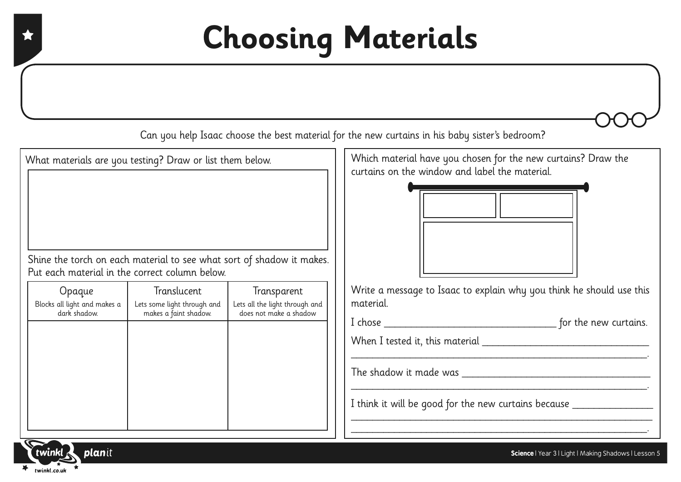## **Choosing Materials**

Can you help Isaac choose the best material for the new curtains in his baby sister's bedroom?

What materials are you testing? Draw or list them below.

Shine the torch on each material to see what sort of shadow it makes. Put each material in the correct column below.

| Opaque<br>Blocks all light and makes a<br>dark shadow. | Translucent<br>Lets some light through and<br>makes a faint shadow. | Transparent<br>Lets all the light through and<br>does not make a shadow |
|--------------------------------------------------------|---------------------------------------------------------------------|-------------------------------------------------------------------------|
|                                                        |                                                                     |                                                                         |
|                                                        |                                                                     |                                                                         |
|                                                        |                                                                     |                                                                         |

Which material have you chosen for the new curtains? Draw the curtains on the window and label the material.



Write a message to Isaac to explain why you think he should use this material.

| I chose |  |  | for the new curtains. |
|---------|--|--|-----------------------|
|         |  |  |                       |

\_\_\_\_\_\_\_\_\_\_\_\_\_\_\_\_\_\_\_\_\_\_\_\_\_\_\_\_\_\_\_\_\_\_\_\_\_\_\_\_\_\_\_\_\_\_\_\_\_\_\_\_\_\_\_.

\_\_\_\_\_\_\_\_\_\_\_\_\_\_\_\_\_\_\_\_\_\_\_\_\_\_\_\_\_\_\_\_\_\_\_\_\_\_\_\_\_\_\_\_\_\_\_\_\_\_\_\_\_\_\_.

\_\_\_\_\_\_\_\_\_\_\_\_\_\_\_\_\_\_\_\_\_\_\_\_\_\_\_\_\_\_\_\_\_\_\_\_\_\_\_\_\_\_\_\_\_\_\_\_\_\_\_\_\_\_\_\_ \_\_\_\_\_\_\_\_\_\_\_\_\_\_\_\_\_\_\_\_\_\_\_\_\_\_\_\_\_\_\_\_\_\_\_\_\_\_\_\_\_\_\_\_\_\_\_\_\_\_\_\_\_\_\_.

When I tested it, this material \_\_\_\_\_\_\_\_\_\_\_\_\_\_\_\_\_\_\_\_\_\_\_\_\_\_\_\_\_\_\_

The shadow it made was **EXECUTE:** 

I think it will be good for the new curtains because \_\_\_\_\_\_\_\_\_\_\_\_\_\_\_\_\_\_\_\_\_\_\_\_\_\_\_

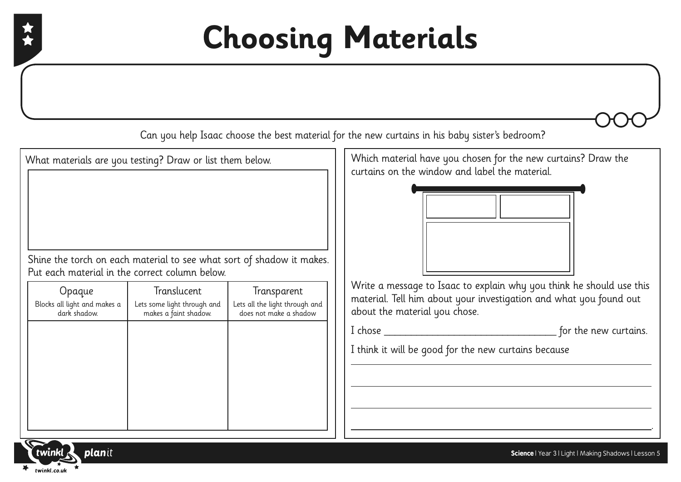## **Choosing Materials**

Can you help Isaac choose the best material for the new curtains in his baby sister's bedroom?

What materials are you testing? Draw or list them below.

Shine the torch on each material to see what sort of shadow it makes. Put each material in the correct column below.

| Opaque                                       | Translucent                                          | Transparent                                              |
|----------------------------------------------|------------------------------------------------------|----------------------------------------------------------|
| Blocks all light and makes a<br>dark shadow. | Lets some light through and<br>makes a faint shadow. | Lets all the light through and<br>does not make a shadow |
|                                              |                                                      |                                                          |
|                                              |                                                      |                                                          |
|                                              |                                                      |                                                          |
|                                              |                                                      |                                                          |
|                                              |                                                      |                                                          |
|                                              |                                                      |                                                          |

Which material have you chosen for the new curtains? Draw the curtains on the window and label the material.



Write a message to Isaac to explain why you think he should use this material. Tell him about your investigation and what you found out about the material you chose.

I chose \_\_\_\_\_\_\_\_\_\_\_\_\_\_\_\_\_\_\_\_\_\_\_\_\_\_\_\_\_\_\_\_ for the new curtains.

.

I think it will be good for the new curtains because